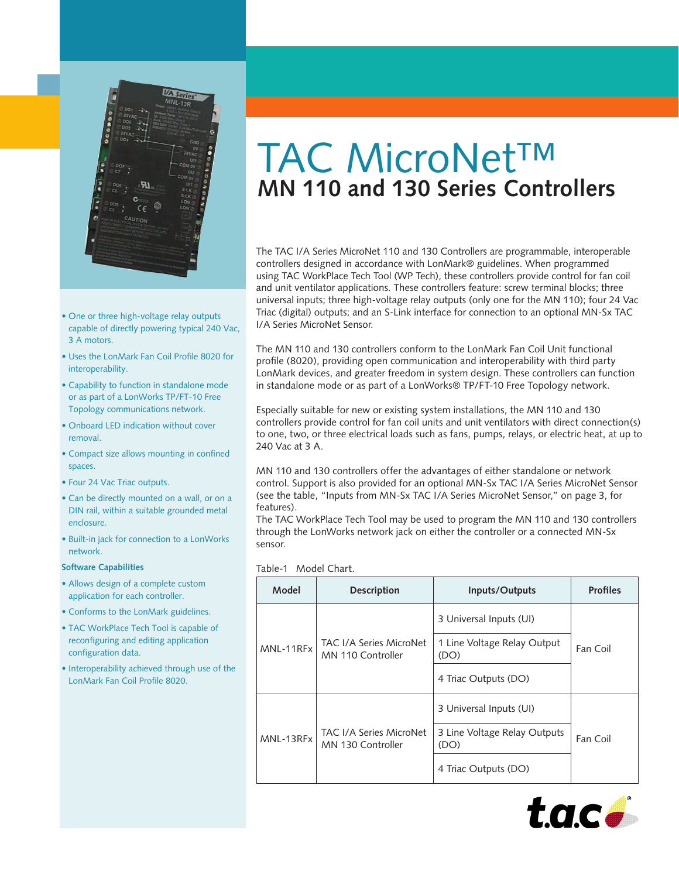

• •

- One or three high-voltage relay outputs capable of directly powering typical 240 Vac, 3 A motors.
- Uses the LonMark Fan Coil Profile 8020 for interoperability.
- Capability to function in standalone mode or as part of a LonWorks TP/FT-10 Free Topology communications network.
- Onboard LED indication without cover removal.
- Compact size allows mounting in confined spaces.
- Four 24 Vac Triac outputs.
- Can be directly mounted on a wall, or on a DIN rail, within a suitable grounded metal enclosure.
- Built-in jack for connection to a LonWorks network.

#### **Software Capabilities**

- Allows design of a complete custom application for each controller.
- Conforms to the LonMark guidelines.
- TAC WorkPlace Tech Tool is capable of reconfiguring and editing application configuration data.
- Interoperability achieved through use of the LonMark Fan Coil Profile 8020.

# TAC MicroNet™ **MN 110 and 130 Series Controllers**

The TAC I/A Series MicroNet 110 and 130 Controllers are programmable, interoperable controllers designed in accordance with LonMark® guidelines. When programmed using TAC WorkPlace Tech Tool (WP Tech), these controllers provide control for fan coil and unit ventilator applications. These controllers feature: screw terminal blocks; three universal inputs; three high-voltage relay outputs (only one for the MN 110); four 24 Vac Triac (digital) outputs; and an S-Link interface for connection to an optional MN-Sx TAC I/A Series MicroNet Sensor.

The MN 110 and 130 controllers conform to the LonMark Fan Coil Unit functional profile (8020), providing open communication and interoperability with third party LonMark devices, and greater freedom in system design. These controllers can function in standalone mode or as part of a LonWorks® TP/FT-10 Free Topology network.

Especially suitable for new or existing system installations, the MN 110 and 130 controllers provide control for fan coil units and unit ventilators with direct connection(s) to one, two, or three electrical loads such as fans, pumps, relays, or electric heat, at up to 240 Vac at 3 A.

MN 110 and 130 controllers offer the advantages of either standalone or network control. Support is also provided for an optional MN-Sx TAC I/A Series MicroNet Sensor (see the table, "Inputs from MN-Sx TAC I/A Series MicroNet Sensor," on page 3, for features).

The TAC WorkPlace Tech Tool may be used to program the MN 110 and 130 controllers through the LonWorks network jack on either the controller or a connected MN-Sx sensor.

#### Table-1 Model Chart.

| Model     | <b>Description</b>                           | Inputs/Outputs                       | <b>Profiles</b> |  |
|-----------|----------------------------------------------|--------------------------------------|-----------------|--|
| MNL-11RFx | TAC I/A Series MicroNet<br>MN 110 Controller | 3 Universal Inputs (UI)              |                 |  |
|           |                                              | 1 Line Voltage Relay Output<br>(DO)  |                 |  |
|           |                                              | 4 Triac Outputs (DO)                 |                 |  |
| MNL-13RFx | TAC I/A Series MicroNet<br>MN 130 Controller | 3 Universal Inputs (UI)              | Fan Coil        |  |
|           |                                              | 3 Line Voltage Relay Outputs<br>(DO) |                 |  |
|           |                                              | 4 Triac Outputs (DO)                 |                 |  |

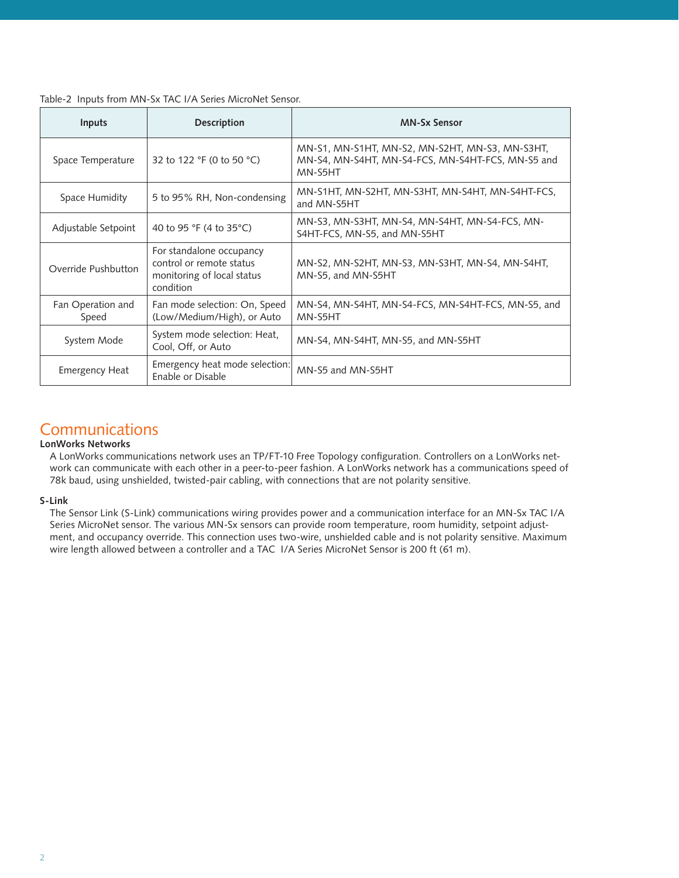| Table-2 Inputs from MN-Sx TAC I/A Series MicroNet Sensor. |  |  |  |
|-----------------------------------------------------------|--|--|--|
|                                                           |  |  |  |

| Inputs                     | <b>Description</b>                                                                              | <b>MN-Sx Sensor</b>                                                                                             |  |  |
|----------------------------|-------------------------------------------------------------------------------------------------|-----------------------------------------------------------------------------------------------------------------|--|--|
| Space Temperature          | 32 to 122 °F (0 to 50 °C)                                                                       | MN-S1, MN-S1HT, MN-S2, MN-S2HT, MN-S3, MN-S3HT,<br>MN-S4, MN-S4HT, MN-S4-FCS, MN-S4HT-FCS, MN-S5 and<br>MN-S5HT |  |  |
| Space Humidity             | 5 to 95% RH, Non-condensing                                                                     | MN-S1HT, MN-S2HT, MN-S3HT, MN-S4HT, MN-S4HT-FCS,<br>and MN-S5HT                                                 |  |  |
| Adjustable Setpoint        | 40 to 95 °F (4 to 35 °C)                                                                        | MN-S3, MN-S3HT, MN-S4, MN-S4HT, MN-S4-FCS, MN-<br>S4HT-FCS, MN-S5, and MN-S5HT                                  |  |  |
| Override Pushbutton        | For standalone occupancy<br>control or remote status<br>monitoring of local status<br>condition | MN-S2, MN-S2HT, MN-S3, MN-S3HT, MN-S4, MN-S4HT,<br>MN-S5, and MN-S5HT                                           |  |  |
| Fan Operation and<br>Speed | Fan mode selection: On, Speed<br>(Low/Medium/High), or Auto                                     | MN-S4, MN-S4HT, MN-S4-FCS, MN-S4HT-FCS, MN-S5, and<br>MN-S5HT                                                   |  |  |
| System Mode                | System mode selection: Heat,<br>Cool, Off, or Auto                                              | MN-S4, MN-S4HT, MN-S5, and MN-S5HT                                                                              |  |  |
| <b>Emergency Heat</b>      | Emergency heat mode selection:<br>Enable or Disable                                             | MN-S5 and MN-S5HT                                                                                               |  |  |

# **Communications**

# **LonWorks Networks**

A LonWorks communications network uses an TP/FT-10 Free Topology configuration. Controllers on a LonWorks network can communicate with each other in a peer-to-peer fashion. A LonWorks network has a communications speed of 78k baud, using unshielded, twisted-pair cabling, with connections that are not polarity sensitive.

# **S-Link**

The Sensor Link (S-Link) communications wiring provides power and a communication interface for an MN-Sx TAC I/A Series MicroNet sensor. The various MN-Sx sensors can provide room temperature, room humidity, setpoint adjustment, and occupancy override. This connection uses two-wire, unshielded cable and is not polarity sensitive. Maximum wire length allowed between a controller and a TAC I/A Series MicroNet Sensor is 200 ft (61 m).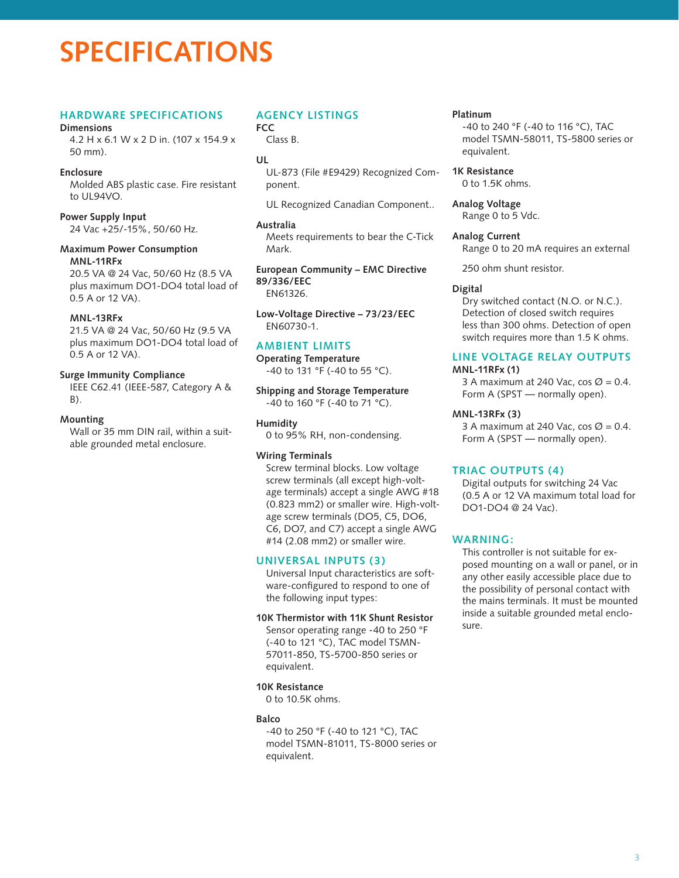# **SPECIFICATIONS**

# **Hardware Specifications**

#### **Dimensions**

4.2 H x 6.1 W x 2 D in. (107 x 154.9 x 50 mm).

### **Enclosure**

Molded ABS plastic case. Fire resistant to UL94VO.

#### **Power Supply Input**

24 Vac +25/-15%, 50/60 Hz.

#### **Maximum Power Consumption MNL-11RFx**

20.5 VA @ 24 Vac, 50/60 Hz (8.5 VA plus maximum DO1-DO4 total load of 0.5 A or 12 VA).

#### **MNL-13RFx**

21.5 VA @ 24 Vac, 50/60 Hz (9.5 VA plus maximum DO1-DO4 total load of 0.5 A or 12 VA).

#### **Surge Immunity Compliance**

IEEE C62.41 (IEEE-587, Category A &  $B$ ).

#### **Mounting**

Wall or 35 mm DIN rail, within a suitable grounded metal enclosure.

# **Agency Listings**

**FCC**  Class B.

# **UL**

UL-873 (File #E9429) Recognized Component.

UL Recognized Canadian Component..

#### **Australia**

Meets requirements to bear the C-Tick Mark.

**European Community – EMC Directive 89/336/EEC** EN61326.

**Low-Voltage Directive – 73/23/EEC** EN60730-1.

# **Ambient Limits**

**Operating Temperature** -40 to 131 °F (-40 to 55 °C).

**Shipping and Storage Temperature** -40 to 160 °F (-40 to 71 °C).

#### **Humidity**

0 to 95% RH, non-condensing.

#### **Wiring Terminals**

Screw terminal blocks. Low voltage screw terminals (all except high-voltage terminals) accept a single AWG #18 (0.823 mm2) or smaller wire. High-voltage screw terminals (DO5, C5, DO6, C6, DO7, and C7) accept a single AWG #14 (2.08 mm2) or smaller wire.

# **Universal Inputs (3)**

Universal Input characteristics are software-configured to respond to one of the following input types:

# **10K Thermistor with 11K Shunt Resistor**

Sensor operating range -40 to 250 °F (-40 to 121 °C), TAC model TSMN-57011-850, TS-5700-850 series or equivalent.

#### **10K Resistance**

0 to 10.5K ohms.

#### **Balco**

-40 to 250 °F (-40 to 121 °C), TAC model TSMN-81011, TS-8000 series or equivalent.

#### **Platinum**

-40 to 240 °F (-40 to 116 °C), TAC model TSMN-58011, TS-5800 series or equivalent.

**1K Resistance** 0 to 1.5K ohms.

**Analog Voltage** Range 0 to 5 Vdc.

#### **Analog Current**

Range 0 to 20 mA requires an external

250 ohm shunt resistor.

#### **Digital**

Dry switched contact (N.O. or N.C.). Detection of closed switch requires less than 300 ohms. Detection of open switch requires more than 1.5 K ohms.

# **Line Voltage Relay Outputs**

#### **MNL-11RFx (1)**

3 A maximum at 240 Vac, cos  $\varnothing$  = 0.4. Form A (SPST — normally open).

#### **MNL-13RFx (3)**

3 A maximum at 240 Vac, cos  $\varnothing$  = 0.4. Form A (SPST — normally open).

# **Triac Outputs (4)**

Digital outputs for switching 24 Vac (0.5 A or 12 VA maximum total load for DO1-DO4 @ 24 Vac).

# **WARNING:**

This controller is not suitable for exposed mounting on a wall or panel, or in any other easily accessible place due to the possibility of personal contact with the mains terminals. It must be mounted inside a suitable grounded metal enclosure.